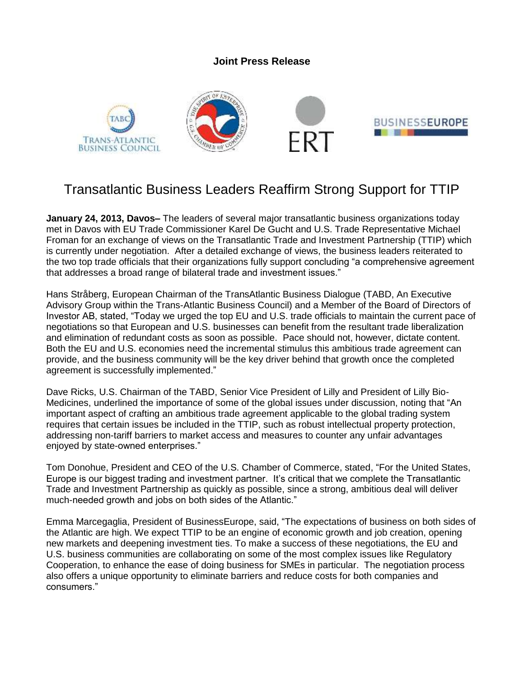## **Joint Press Release**



## Transatlantic Business Leaders Reaffirm Strong Support for TTIP

**January 24, 2013, Davos–** The leaders of several major transatlantic business organizations today met in Davos with EU Trade Commissioner Karel De Gucht and U.S. Trade Representative Michael Froman for an exchange of views on the Transatlantic Trade and Investment Partnership (TTIP) which is currently under negotiation. After a detailed exchange of views, the business leaders reiterated to the two top trade officials that their organizations fully support concluding "a comprehensive agreement that addresses a broad range of bilateral trade and investment issues."

Hans Stråberg, European Chairman of the TransAtlantic Business Dialogue (TABD, An Executive Advisory Group within the Trans-Atlantic Business Council) and a Member of the Board of Directors of Investor AB, stated, "Today we urged the top EU and U.S. trade officials to maintain the current pace of negotiations so that European and U.S. businesses can benefit from the resultant trade liberalization and elimination of redundant costs as soon as possible. Pace should not, however, dictate content. Both the EU and U.S. economies need the incremental stimulus this ambitious trade agreement can provide, and the business community will be the key driver behind that growth once the completed agreement is successfully implemented."

Dave Ricks, U.S. Chairman of the TABD, Senior Vice President of Lilly and President of Lilly Bio-Medicines, underlined the importance of some of the global issues under discussion, noting that "An important aspect of crafting an ambitious trade agreement applicable to the global trading system requires that certain issues be included in the TTIP, such as robust intellectual property protection, addressing non-tariff barriers to market access and measures to counter any unfair advantages enjoyed by state-owned enterprises."

Tom Donohue, President and CEO of the U.S. Chamber of Commerce, stated, "For the United States, Europe is our biggest trading and investment partner. It's critical that we complete the Transatlantic Trade and Investment Partnership as quickly as possible, since a strong, ambitious deal will deliver much-needed growth and jobs on both sides of the Atlantic."

Emma Marcegaglia, President of BusinessEurope, said, "The expectations of business on both sides of the Atlantic are high. We expect TTIP to be an engine of economic growth and job creation, opening new markets and deepening investment ties. To make a success of these negotiations, the EU and U.S. business communities are collaborating on some of the most complex issues like Regulatory Cooperation, to enhance the ease of doing business for SMEs in particular. The negotiation process also offers a unique opportunity to eliminate barriers and reduce costs for both companies and consumers."